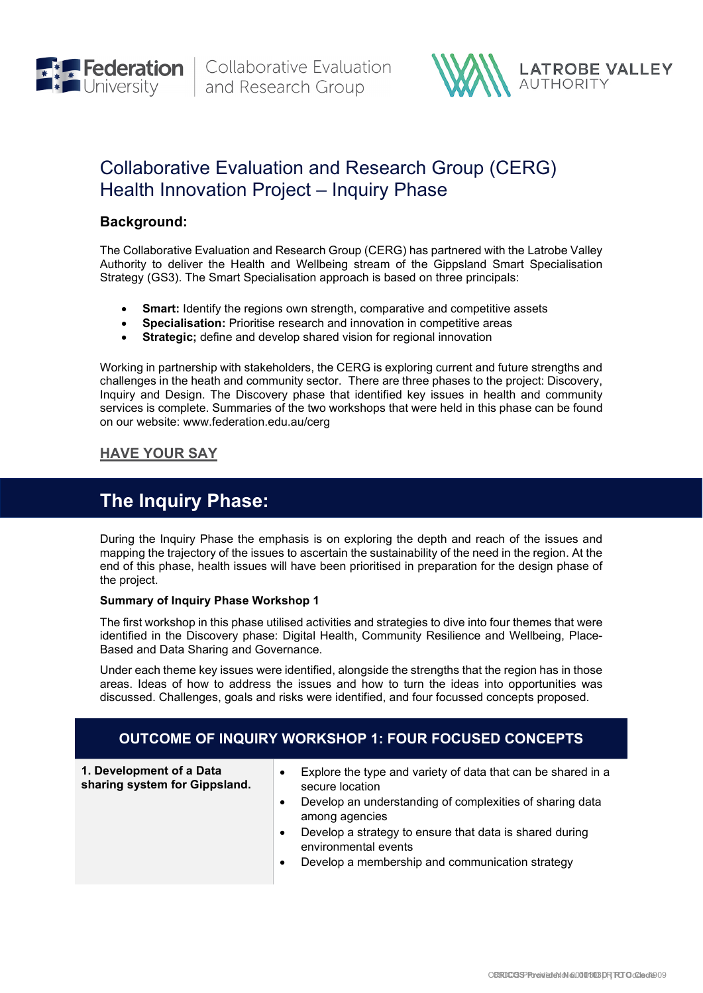



# Collaborative Evaluation and Research Group (CERG) Health Innovation Project – Inquiry Phase

### **Background:**

The Collaborative Evaluation and Research Group (CERG) has partnered with the Latrobe Valley Authority to deliver the Health and Wellbeing stream of the Gippsland Smart Specialisation Strategy (GS3). The Smart Specialisation approach is based on three principals:

- **Smart:** Identify the regions own strength, comparative and competitive assets
- **Specialisation:** Prioritise research and innovation in competitive areas
- **Strategic:** define and develop shared vision for regional innovation

Working in partnership with stakeholders, the CERG is exploring current and future strengths and challenges in the heath and community sector. There are three phases to the project: Discovery, Inquiry and Design. The Discovery phase that identified key issues in health and community services is complete. Summaries of the two workshops that were held in this phase can be found on our website: www.federation.edu.au/cerg

## **[HAVE YOUR SAY](#page-2-0)**

# **The Inquiry Phase:**

During the Inquiry Phase the emphasis is on exploring the depth and reach of the issues and mapping the trajectory of the issues to ascertain the sustainability of the need in the region. At the end of this phase, health issues will have been prioritised in preparation for the design phase of the project.

#### **Summary of Inquiry Phase Workshop 1**

The first workshop in this phase utilised activities and strategies to dive into four themes that were identified in the Discovery phase: Digital Health, Community Resilience and Wellbeing, Place-Based and Data Sharing and Governance.

Under each theme key issues were identified, alongside the strengths that the region has in those areas. Ideas of how to address the issues and how to turn the ideas into opportunities was discussed. Challenges, goals and risks were identified, and four focussed concepts proposed.

## **OUTCOME OF INQUIRY WORKSHOP 1: FOUR FOCUSED CONCEPTS**

**1. Development of a Data sharing system for Gippsland.**

- Explore the type and variety of data that can be shared in a secure location
- Develop an understanding of complexities of sharing data among agencies
- Develop a strategy to ensure that data is shared during environmental events
- Develop a membership and communication strategy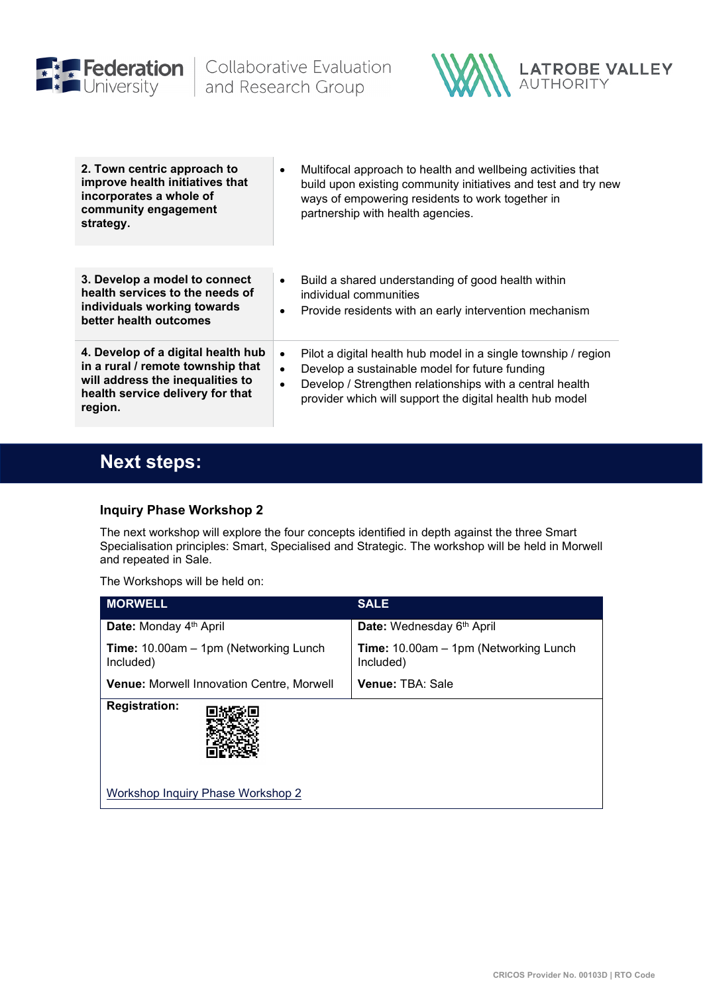

**Contract Contract Contract** 



| 2. Town centric approach to<br>improve health initiatives that<br>incorporates a whole of<br>community engagement<br>strategy.                             | Multifocal approach to health and wellbeing activities that<br>$\bullet$<br>build upon existing community initiatives and test and try new<br>ways of empowering residents to work together in<br>partnership with health agencies.                                             |
|------------------------------------------------------------------------------------------------------------------------------------------------------------|---------------------------------------------------------------------------------------------------------------------------------------------------------------------------------------------------------------------------------------------------------------------------------|
| 3. Develop a model to connect<br>health services to the needs of<br>individuals working towards<br>better health outcomes                                  | Build a shared understanding of good health within<br>$\bullet$<br>individual communities<br>Provide residents with an early intervention mechanism<br>$\bullet$                                                                                                                |
| 4. Develop of a digital health hub<br>in a rural / remote township that<br>will address the inequalities to<br>health service delivery for that<br>region. | Pilot a digital health hub model in a single township / region<br>$\bullet$<br>Develop a sustainable model for future funding<br>$\bullet$<br>Develop / Strengthen relationships with a central health<br>$\bullet$<br>provider which will support the digital health hub model |

# **Next steps:**

## **Inquiry Phase Workshop 2**

The next workshop will explore the four concepts identified in depth against the three Smart Specialisation principles: Smart, Specialised and Strategic. The workshop will be held in Morwell and repeated in Sale.

The Workshops will be held on:

| <b>MORWELL</b>                                             | <b>SALE</b>                                                |  |  |
|------------------------------------------------------------|------------------------------------------------------------|--|--|
| <b>Date:</b> Monday 4 <sup>th</sup> April                  | Date: Wednesday 6th April                                  |  |  |
| <b>Time:</b> 10.00am - 1pm (Networking Lunch)<br>Included) | <b>Time:</b> 10.00am - 1pm (Networking Lunch)<br>Included) |  |  |
| <b>Venue: Morwell Innovation Centre, Morwell</b>           | <b>Venue: TBA: Sale</b>                                    |  |  |
| <b>Registration:</b>                                       |                                                            |  |  |
| Workshop Inquiry Phase Workshop 2                          |                                                            |  |  |